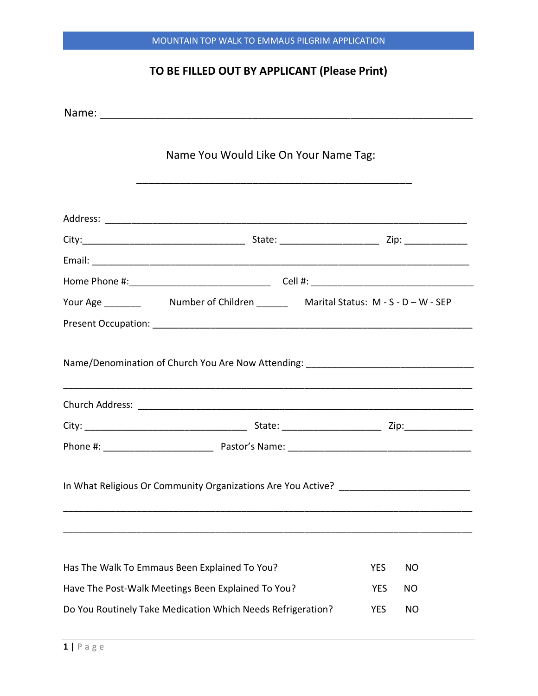## TO BE FILLED OUT BY APPLICANT (Please Print)

|                                                             | Name You Would Like On Your Name Tag:                                             |  |            |           |
|-------------------------------------------------------------|-----------------------------------------------------------------------------------|--|------------|-----------|
|                                                             |                                                                                   |  |            |           |
|                                                             |                                                                                   |  |            |           |
|                                                             |                                                                                   |  |            |           |
|                                                             |                                                                                   |  |            |           |
|                                                             |                                                                                   |  |            |           |
|                                                             |                                                                                   |  |            |           |
|                                                             |                                                                                   |  |            |           |
|                                                             | Name/Denomination of Church You Are Now Attending: _____________________________  |  |            |           |
|                                                             |                                                                                   |  |            |           |
|                                                             |                                                                                   |  |            |           |
|                                                             | In What Religious Or Community Organizations Are You Active? ____________________ |  |            |           |
|                                                             | Has The Walk To Emmaus Been Explained To You?                                     |  | <b>YES</b> | <b>NO</b> |
| Have The Post-Walk Meetings Been Explained To You?          |                                                                                   |  | <b>YES</b> | ΝO        |
| Do You Routinely Take Medication Which Needs Refrigeration? |                                                                                   |  | <b>YES</b> | <b>NO</b> |